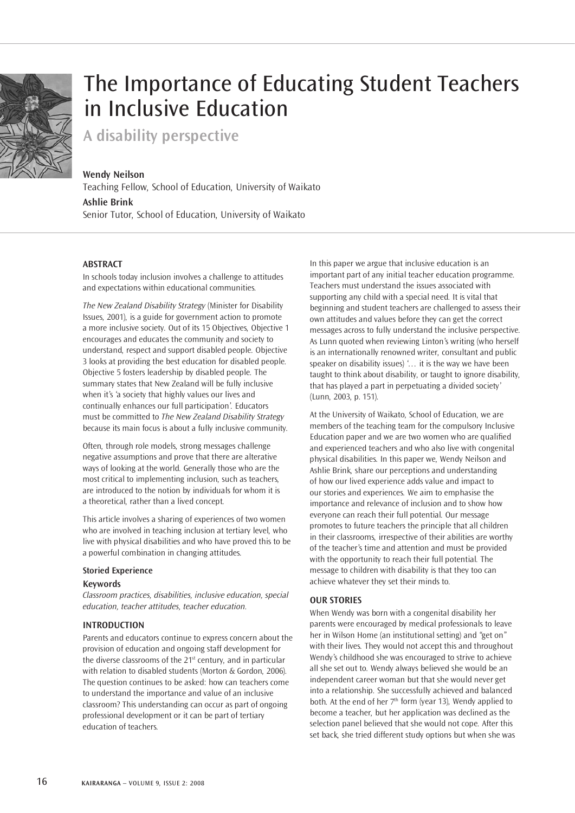

# The Importance of Educating Student Teachers in Inclusive Education

**A disability perspective** 

## **Wendy Neilson**

Teaching Fellow, School of Education, University of Waikato **Ashlie Brink**  Senior Tutor, School of Education, University of Waikato

## **Abstract**

In schools today inclusion involves a challenge to attitudes and expectations within educational communities.

*The New Zealand Disability Strategy* (Minister for Disability Issues, 2001), is a guide for government action to promote a more inclusive society. Out of its 15 Objectives, Objective 1 encourages and educates the community and society to understand, respect and support disabled people. Objective 3 looks at providing the best education for disabled people. Objective 5 fosters leadership by disabled people. The summary states that New Zealand will be fully inclusive when it's 'a society that highly values our lives and continually enhances our full participation'. Educators must be committed to *The New Zealand Disability Strategy* because its main focus is about a fully inclusive community.

Often, through role models, strong messages challenge negative assumptions and prove that there are alterative ways of looking at the world. Generally those who are the most critical to implementing inclusion, such as teachers, are introduced to the notion by individuals for whom it is a theoretical, rather than a lived concept.

This article involves a sharing of experiences of two women who are involved in teaching inclusion at tertiary level, who live with physical disabilities and who have proved this to be a powerful combination in changing attitudes.

## **Storied Experience**

## **Keywords**

*Classroom practices, disabilities, inclusive education, special education, teacher attitudes, teacher education.*

## **Introduction**

Parents and educators continue to express concern about the provision of education and ongoing staff development for the diverse classrooms of the 21<sup>st</sup> century, and in particular with relation to disabled students (Morton & Gordon, 2006). The question continues to be asked: how can teachers come to understand the importance and value of an inclusive classroom? This understanding can occur as part of ongoing professional development or it can be part of tertiary education of teachers.

In this paper we argue that inclusive education is an important part of any initial teacher education programme. Teachers must understand the issues associated with supporting any child with a special need. It is vital that beginning and student teachers are challenged to assess their own attitudes and values before they can get the correct messages across to fully understand the inclusive perspective. As Lunn quoted when reviewing Linton's writing (who herself is an internationally renowned writer, consultant and public speaker on disability issues) '… it is the way we have been taught to think about disability, or taught to ignore disability, that has played a part in perpetuating a divided society' (Lunn, 2003, p. 151).

At the University of Waikato, School of Education, we are members of the teaching team for the compulsory Inclusive Education paper and we are two women who are qualified and experienced teachers and who also live with congenital physical disabilities. In this paper we, Wendy Neilson and Ashlie Brink, share our perceptions and understanding of how our lived experience adds value and impact to our stories and experiences. We aim to emphasise the importance and relevance of inclusion and to show how everyone can reach their full potential. Our message promotes to future teachers the principle that all children in their classrooms, irrespective of their abilities are worthy of the teacher's time and attention and must be provided with the opportunity to reach their full potential. The message to children with disability is that they too can achieve whatever they set their minds to.

## **Our stories**

When Wendy was born with a congenital disability her parents were encouraged by medical professionals to leave her in Wilson Home (an institutional setting) and "get on" with their lives. They would not accept this and throughout Wendy's childhood she was encouraged to strive to achieve all she set out to. Wendy always believed she would be an independent career woman but that she would never get into a relationship. She successfully achieved and balanced both. At the end of her  $7<sup>th</sup>$  form (year 13), Wendy applied to become a teacher, but her application was declined as the selection panel believed that she would not cope. After this set back, she tried different study options but when she was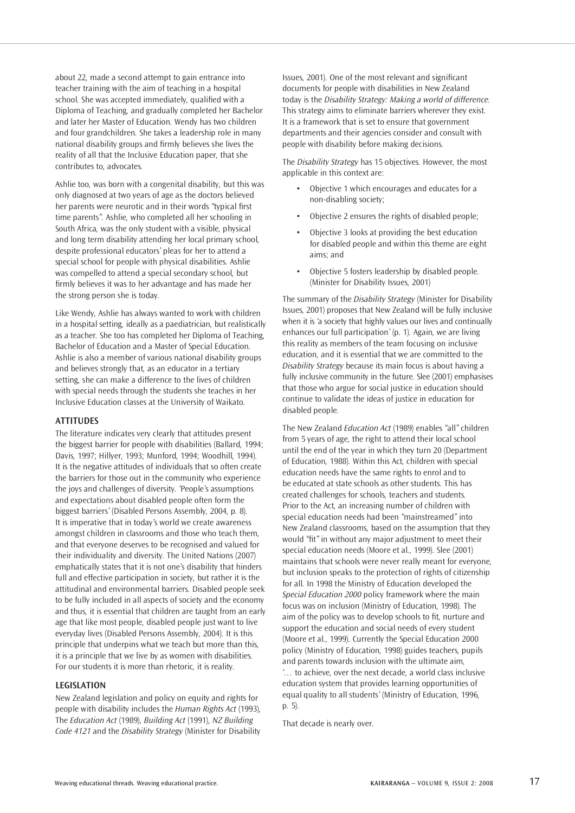about 22, made a second attempt to gain entrance into teacher training with the aim of teaching in a hospital school. She was accepted immediately, qualified with a Diploma of Teaching, and gradually completed her Bachelor and later her Master of Education. Wendy has two children and four grandchildren. She takes a leadership role in many national disability groups and firmly believes she lives the reality of all that the Inclusive Education paper, that she contributes to, advocates.

Ashlie too, was born with a congenital disability, but this was only diagnosed at two years of age as the doctors believed her parents were neurotic and in their words "typical first time parents". Ashlie, who completed all her schooling in South Africa, was the only student with a visible, physical and long term disability attending her local primary school, despite professional educators' pleas for her to attend a special school for people with physical disabilities. Ashlie was compelled to attend a special secondary school, but firmly believes it was to her advantage and has made her the strong person she is today.

Like Wendy, Ashlie has always wanted to work with children in a hospital setting, ideally as a paediatrician, but realistically as a teacher. She too has completed her Diploma of Teaching, Bachelor of Education and a Master of Special Education. Ashlie is also a member of various national disability groups and believes strongly that, as an educator in a tertiary setting, she can make a difference to the lives of children with special needs through the students she teaches in her Inclusive Education classes at the University of Waikato.

## **Attitudes**

The literature indicates very clearly that attitudes present the biggest barrier for people with disabilities (Ballard, 1994; Davis, 1997; Hillyer, 1993; Munford, 1994; Woodhill, 1994). It is the negative attitudes of individuals that so often create the barriers for those out in the community who experience the joys and challenges of diversity. 'People's assumptions and expectations about disabled people often form the biggest barriers' (Disabled Persons Assembly, 2004, p. 8). It is imperative that in today's world we create awareness amongst children in classrooms and those who teach them, and that everyone deserves to be recognised and valued for their individuality and diversity. The United Nations (2007) emphatically states that it is not one's disability that hinders full and effective participation in society, but rather it is the attitudinal and environmental barriers. Disabled people seek to be fully included in all aspects of society and the economy and thus, it is essential that children are taught from an early age that like most people, disabled people just want to live everyday lives (Disabled Persons Assembly, 2004). It is this principle that underpins what we teach but more than this, it is a principle that we live by as women with disabilities. For our students it is more than rhetoric, it is reality.

## **Legislation**

New Zealand legislation and policy on equity and rights for people with disability includes the *Human Rights Act* (1993), The *Education Act* (1989), *Building Act* (1991), *NZ Building Code 4121* and the *Disability Strategy* (Minister for Disability Issues, 2001). One of the most relevant and significant documents for people with disabilities in New Zealand today is the *Disability Strategy: Making a world of difference*. This strategy aims to eliminate barriers wherever they exist. It is a framework that is set to ensure that government departments and their agencies consider and consult with people with disability before making decisions.

The *Disability Strategy* has 15 objectives. However, the most applicable in this context are:

- Objective 1 which encourages and educates for a non-disabling society;
- Objective 2 ensures the rights of disabled people;
- Objective 3 looks at providing the best education for disabled people and within this theme are eight aims; and
- Objective 5 fosters leadership by disabled people. (Minister for Disability Issues, 2001)

The summary of the *Disability Strategy* (Minister for Disability Issues, 2001) proposes that New Zealand will be fully inclusive when it is 'a society that highly values our lives and continually enhances our full participation' (p. 1). Again, we are living this reality as members of the team focusing on inclusive education, and it is essential that we are committed to the *Disability Strategy* because its main focus is about having a fully inclusive community in the future. Slee (2001) emphasises that those who argue for social justice in education should continue to validate the ideas of justice in education for disabled people.

The New Zealand *Education Act* (1989) enables "all" children from 5 years of age, the right to attend their local school until the end of the year in which they turn 20 (Department of Education, 1988). Within this Act, children with special education needs have the same rights to enrol and to be educated at state schools as other students. This has created challenges for schools, teachers and students. Prior to the Act, an increasing number of children with special education needs had been "mainstreamed" into New Zealand classrooms, based on the assumption that they would "fit" in without any major adjustment to meet their special education needs (Moore et al., 1999). Slee (2001) maintains that schools were never really meant for everyone, but inclusion speaks to the protection of rights of citizenship for all. In 1998 the Ministry of Education developed the *Special Education 2000* policy framework where the main focus was on inclusion (Ministry of Education, 1998). The aim of the policy was to develop schools to fit, nurture and support the education and social needs of every student (Moore et al., 1999). Currently the Special Education 2000 policy (Ministry of Education, 1998) guides teachers, pupils and parents towards inclusion with the ultimate aim, '… to achieve, over the next decade, a world class inclusive education system that provides learning opportunities of equal quality to all students' (Ministry of Education, 1996, p. 5).

That decade is nearly over.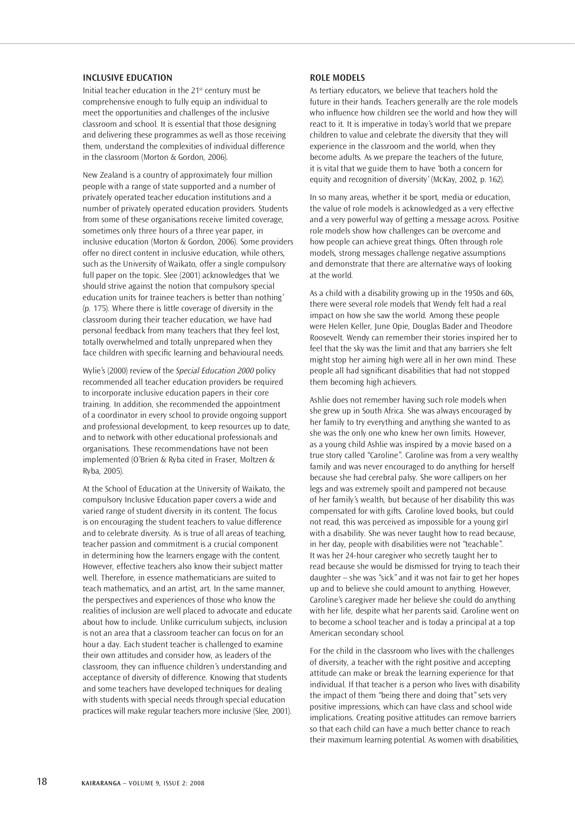#### **Inclusive Education**

Initial teacher education in the 21st century must be comprehensive enough to fully equip an individual to meet the opportunities and challenges of the inclusive classroom and school. It is essential that those designing and delivering these programmes as well as those receiving them, understand the complexities of individual difference in the classroom (Morton & Gordon, 2006).

New Zealand is a country of approximately four million people with a range of state supported and a number of privately operated teacher education institutions and a number of privately operated education providers. Students from some of these organisations receive limited coverage, sometimes only three hours of a three year paper, in inclusive education (Morton & Gordon, 2006). Some providers offer no direct content in inclusive education, while others, such as the University of Waikato, offer a single compulsory full paper on the topic. Slee (2001) acknowledges that 'we should strive against the notion that compulsory special education units for trainee teachers is better than nothing' (p. 175). Where there is little coverage of diversity in the classroom during their teacher education, we have had personal feedback from many teachers that they feel lost, totally overwhelmed and totally unprepared when they face children with specific learning and behavioural needs.

Wylie's (2000) review of the *Special Education 2000* policy recommended all teacher education providers be required to incorporate inclusive education papers in their core training. In addition, she recommended the appointment of a coordinator in every school to provide ongoing support and professional development, to keep resources up to date, and to network with other educational professionals and organisations. These recommendations have not been implemented (O'Brien & Ryba cited in Fraser, Moltzen & Ryba, 2005).

At the School of Education at the University of Waikato, the compulsory Inclusive Education paper covers a wide and varied range of student diversity in its content. The focus is on encouraging the student teachers to value difference and to celebrate diversity. As is true of all areas of teaching, teacher passion and commitment is a crucial component in determining how the learners engage with the content. However, effective teachers also know their subject matter well. Therefore, in essence mathematicians are suited to teach mathematics, and an artist, art. In the same manner, the perspectives and experiences of those who know the realities of inclusion are well placed to advocate and educate about how to include. Unlike curriculum subjects, inclusion is not an area that a classroom teacher can focus on for an hour a day. Each student teacher is challenged to examine their own attitudes and consider how, as leaders of the classroom, they can influence children's understanding and acceptance of diversity of difference. Knowing that students and some teachers have developed techniques for dealing with students with special needs through special education practices will make regular teachers more inclusive (Slee, 2001).

## **Role Models**

As tertiary educators, we believe that teachers hold the future in their hands. Teachers generally are the role models who influence how children see the world and how they will react to it. It is imperative in today's world that we prepare children to value and celebrate the diversity that they will experience in the classroom and the world, when they become adults. As we prepare the teachers of the future, it is vital that we guide them to have 'both a concern for equity and recognition of diversity' (McKay, 2002, p. 162).

In so many areas, whether it be sport, media or education, the value of role models is acknowledged as a very effective and a very powerful way of getting a message across. Positive role models show how challenges can be overcome and how people can achieve great things. Often through role models, strong messages challenge negative assumptions and demonstrate that there are alternative ways of looking at the world.

As a child with a disability growing up in the 1950s and 60s, there were several role models that Wendy felt had a real impact on how she saw the world. Among these people were Helen Keller, June Opie, Douglas Bader and Theodore Roosevelt. Wendy can remember their stories inspired her to feel that the sky was the limit and that any barriers she felt might stop her aiming high were all in her own mind. These people all had significant disabilities that had not stopped them becoming high achievers.

Ashlie does not remember having such role models when she grew up in South Africa. She was always encouraged by her family to try everything and anything she wanted to as she was the only one who knew her own limits. However, as a young child Ashlie was inspired by a movie based on a true story called "Caroline". Caroline was from a very wealthy family and was never encouraged to do anything for herself because she had cerebral palsy. She wore callipers on her legs and was extremely spoilt and pampered not because of her family's wealth, but because of her disability this was compensated for with gifts. Caroline loved books, but could not read, this was perceived as impossible for a young girl with a disability. She was never taught how to read because, in her day, people with disabilities were not "teachable". It was her 24-hour caregiver who secretly taught her to read because she would be dismissed for trying to teach their daughter – she was "sick" and it was not fair to get her hopes up and to believe she could amount to anything. However, Caroline's caregiver made her believe she could do anything with her life, despite what her parents said. Caroline went on to become a school teacher and is today a principal at a top American secondary school.

For the child in the classroom who lives with the challenges of diversity, a teacher with the right positive and accepting attitude can make or break the learning experience for that individual. If that teacher is a person who lives with disability the impact of them "being there and doing that" sets very positive impressions, which can have class and school wide implications. Creating positive attitudes can remove barriers so that each child can have a much better chance to reach their maximum learning potential. As women with disabilities,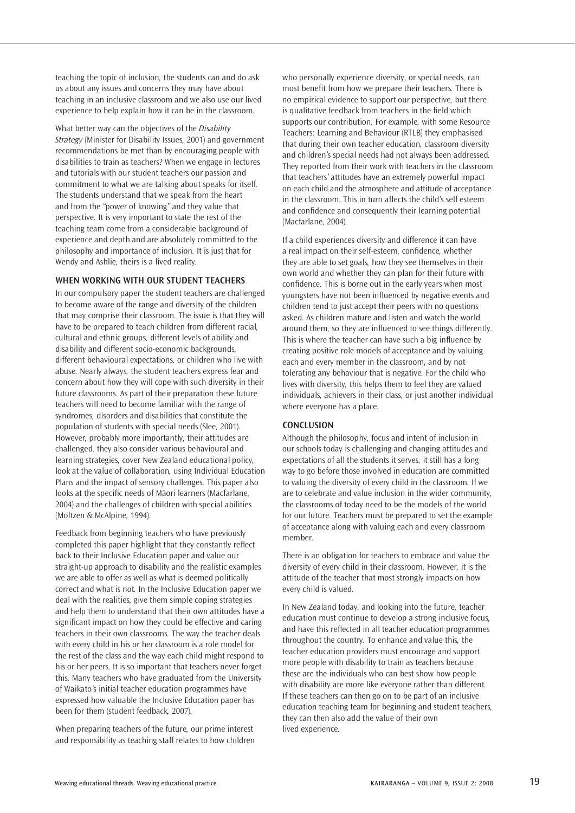teaching the topic of inclusion, the students can and do ask us about any issues and concerns they may have about teaching in an inclusive classroom and we also use our lived experience to help explain how it can be in the classroom.

What better way can the objectives of the *Disability Strategy* (Minister for Disability Issues, 2001) and government recommendations be met than by encouraging people with disabilities to train as teachers? When we engage in lectures and tutorials with our student teachers our passion and commitment to what we are talking about speaks for itself. The students understand that we speak from the heart and from the "power of knowing" and they value that perspective. It is very important to state the rest of the teaching team come from a considerable background of experience and depth and are absolutely committed to the philosophy and importance of inclusion. It is just that for Wendy and Ashlie, theirs is a lived reality.

## **When working with our student teachers**

In our compulsory paper the student teachers are challenged to become aware of the range and diversity of the children that may comprise their classroom. The issue is that they will have to be prepared to teach children from different racial, cultural and ethnic groups, different levels of ability and disability and different socio-economic backgrounds, different behavioural expectations, or children who live with abuse. Nearly always, the student teachers express fear and concern about how they will cope with such diversity in their future classrooms. As part of their preparation these future teachers will need to become familiar with the range of syndromes, disorders and disabilities that constitute the population of students with special needs (Slee, 2001). However, probably more importantly, their attitudes are challenged, they also consider various behavioural and learning strategies, cover New Zealand educational policy, look at the value of collaboration, using Individual Education Plans and the impact of sensory challenges. This paper also looks at the specific needs of Mäori learners (Macfarlane, 2004) and the challenges of children with special abilities (Moltzen & McAlpine, 1994).

Feedback from beginning teachers who have previously completed this paper highlight that they constantly reflect back to their Inclusive Education paper and value our straight-up approach to disability and the realistic examples we are able to offer as well as what is deemed politically correct and what is not. In the Inclusive Education paper we deal with the realities, give them simple coping strategies and help them to understand that their own attitudes have a significant impact on how they could be effective and caring teachers in their own classrooms. The way the teacher deals with every child in his or her classroom is a role model for the rest of the class and the way each child might respond to his or her peers. It is so important that teachers never forget this. Many teachers who have graduated from the University of Waikato's initial teacher education programmes have expressed how valuable the Inclusive Education paper has been for them (student feedback, 2007).

When preparing teachers of the future, our prime interest and responsibility as teaching staff relates to how children who personally experience diversity, or special needs, can most benefit from how we prepare their teachers. There is no empirical evidence to support our perspective, but there is qualitative feedback from teachers in the field which supports our contribution. For example, with some Resource Teachers: Learning and Behaviour (RTLB) they emphasised that during their own teacher education, classroom diversity and children's special needs had not always been addressed. They reported from their work with teachers in the classroom that teachers' attitudes have an extremely powerful impact on each child and the atmosphere and attitude of acceptance in the classroom. This in turn affects the child's self esteem and confidence and consequently their learning potential (Macfarlane, 2004).

If a child experiences diversity and difference it can have a real impact on their self-esteem, confidence, whether they are able to set goals, how they see themselves in their own world and whether they can plan for their future with confidence. This is borne out in the early years when most youngsters have not been influenced by negative events and children tend to just accept their peers with no questions asked. As children mature and listen and watch the world around them, so they are influenced to see things differently. This is where the teacher can have such a big influence by creating positive role models of acceptance and by valuing each and every member in the classroom, and by not tolerating any behaviour that is negative. For the child who lives with diversity, this helps them to feel they are valued individuals, achievers in their class, or just another individual where everyone has a place.

#### **Conclusion**

Although the philosophy, focus and intent of inclusion in our schools today is challenging and changing attitudes and expectations of all the students it serves, it still has a long way to go before those involved in education are committed to valuing the diversity of every child in the classroom. If we are to celebrate and value inclusion in the wider community, the classrooms of today need to be the models of the world for our future. Teachers must be prepared to set the example of acceptance along with valuing each and every classroom member.

There is an obligation for teachers to embrace and value the diversity of every child in their classroom. However, it is the attitude of the teacher that most strongly impacts on how every child is valued.

In New Zealand today, and looking into the future, teacher education must continue to develop a strong inclusive focus, and have this reflected in all teacher education programmes throughout the country. To enhance and value this, the teacher education providers must encourage and support more people with disability to train as teachers because these are the individuals who can best show how people with disability are more like everyone rather than different. If these teachers can then go on to be part of an inclusive education teaching team for beginning and student teachers, they can then also add the value of their own lived experience.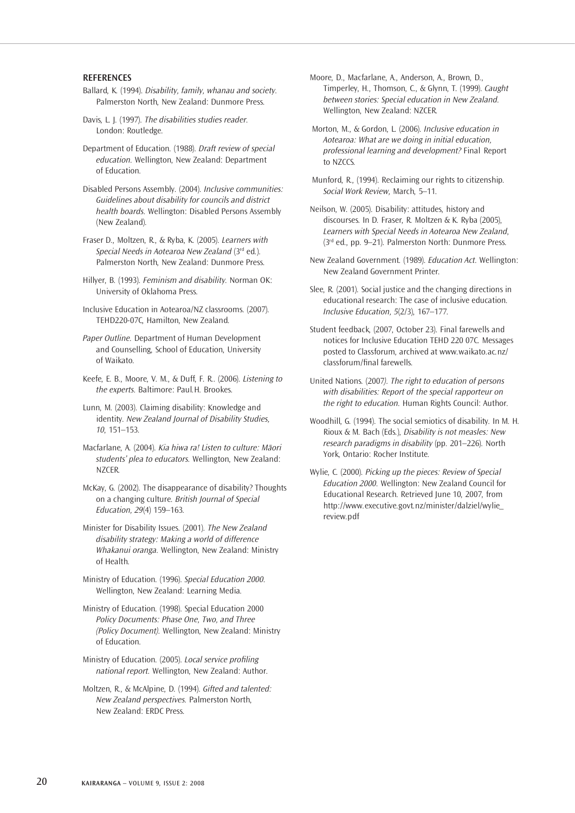## **ReferenceS**

- Ballard, K. (1994). *Disability, family, whanau and society*. Palmerston North, New Zealand: Dunmore Press.
- Davis, L. J. (1997). *The disabilities studies reader*. London: Routledge.

Department of Education. (1988). *Draft review of special education*. Wellington, New Zealand: Department of Education.

Disabled Persons Assembly. (2004). *Inclusive communities: Guidelines about disability for councils and district health boards*. Wellington: Disabled Persons Assembly (New Zealand).

Fraser D., Moltzen, R., & Ryba, K. (2005). *Learners with Special Needs in Aotearoa New Zealand* (3rd ed.). Palmerston North, New Zealand: Dunmore Press.

Hillyer, B. (1993). *Feminism and disability*. Norman OK: University of Oklahoma Press.

Inclusive Education in Aotearoa/NZ classrooms. (2007). TEHD220-07C, Hamilton, New Zealand.

*Paper Outline*. Department of Human Development and Counselling, School of Education, University of Waikato.

Keefe, E. B., Moore, V. M., & Duff, F. R.. (2006). *Listening to the experts*. Baltimore: Paul.H. Brookes.

Lunn, M. (2003). Claiming disability: Knowledge and identity. *New Zealand Journal of Disability Studies, 10*, 151–153.

Macfarlane, A. (2004). *Kia hiwa ra! Listen to culture: Mäori students' plea to educators.* Wellington, New Zealand: N<sub>7CER</sub>

McKay, G. (2002). The disappearance of disability? Thoughts on a changing culture. *British Journal of Special Education, 29*(4) 159–163.

Minister for Disability Issues. (2001). *The New Zealand disability strategy: Making a world of difference Whakanui oranga*. Wellington, New Zealand: Ministry of Health.

Ministry of Education. (1996). *Special Education 2000*. Wellington, New Zealand: Learning Media.

Ministry of Education. (1998). Special Education 2000 *Policy Documents: Phase One, Two, and Three (Policy Document)*. Wellington, New Zealand: Ministry of Education.

Ministry of Education. (2005). *Local service profiling national report*. Wellington, New Zealand: Author.

Moltzen, R., & McAlpine, D. (1994). *Gifted and talented: New Zealand perspectives.* Palmerston North, New Zealand: ERDC Press.

Moore, D., Macfarlane, A., Anderson, A., Brown, D., Timperley, H., Thomson, C., & Glynn, T. (1999). *Caught between stories: Special education in New Zealand.* Wellington, New Zealand: NZCER.

Morton, M., & Gordon, L. (2006). *Inclusive education in Aotearoa: What are we doing in initial education, professional learning and development?* Final Report to NZCCS.

Munford, R., (1994). Reclaiming our rights to citizenship. *Social Work Review,* March, 5–11.

Neilson, W. (2005). Disability: attitudes, history and discourses. In D. Fraser, R. Moltzen & K. Ryba (2005), *Learners with Special Needs in Aotearoa New Zealand*, (3rd ed., pp. 9–21). Palmerston North: Dunmore Press.

- New Zealand Government. (1989). *Education Act.* Wellington: New Zealand Government Printer.
- Slee, R. (2001). Social justice and the changing directions in educational research: The case of inclusive education. *Inclusive Education, 5*(2/3), 167–177.

Student feedback, (2007, October 23). Final farewells and notices for Inclusive Education TEHD 220 07C. Messages posted to Classforum, archived at www.waikato.ac.nz/ classforum/final farewells.

United Nations. (2007*). The right to education of persons with disabilities: Report of the special rapporteur on the right to education*. Human Rights Council: Author.

Woodhill, G. (1994). The social semiotics of disability. In M. H. Rioux & M. Bach (Eds.), *Disability is not measles: New research paradigms in disability* (pp. 201–226). North York, Ontario: Rocher Institute.

Wylie, C. (2000). *Picking up the pieces: Review of Special Education 2000.* Wellington: New Zealand Council for Educational Research. Retrieved June 10, 2007, from http://www.executive.govt.nz/minister/dalziel/wylie\_ review.pdf